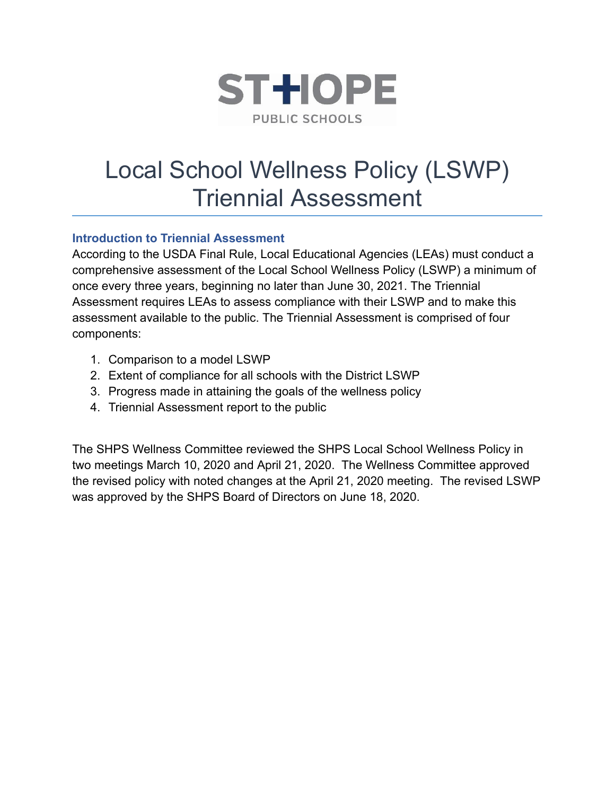

# Local School Wellness Policy (LSWP) Triennial Assessment

# **Introduction to Triennial Assessment**

According to the USDA Final Rule, Local Educational Agencies (LEAs) must conduct a comprehensive assessment of the Local School Wellness Policy (LSWP) a minimum of once every three years, beginning no later than June 30, 2021. The Triennial Assessment requires LEAs to assess compliance with their LSWP and to make this assessment available to the public. The Triennial Assessment is comprised of four components:

- 1. Comparison to a model LSWP
- 2. Extent of compliance for all schools with the District LSWP
- 3. Progress made in attaining the goals of the wellness policy
- 4. Triennial Assessment report to the public

The SHPS Wellness Committee reviewed the SHPS Local School Wellness Policy in two meetings March 10, 2020 and April 21, 2020. The Wellness Committee approved the revised policy with noted changes at the April 21, 2020 meeting. The revised LSWP was approved by the SHPS Board of Directors on June 18, 2020.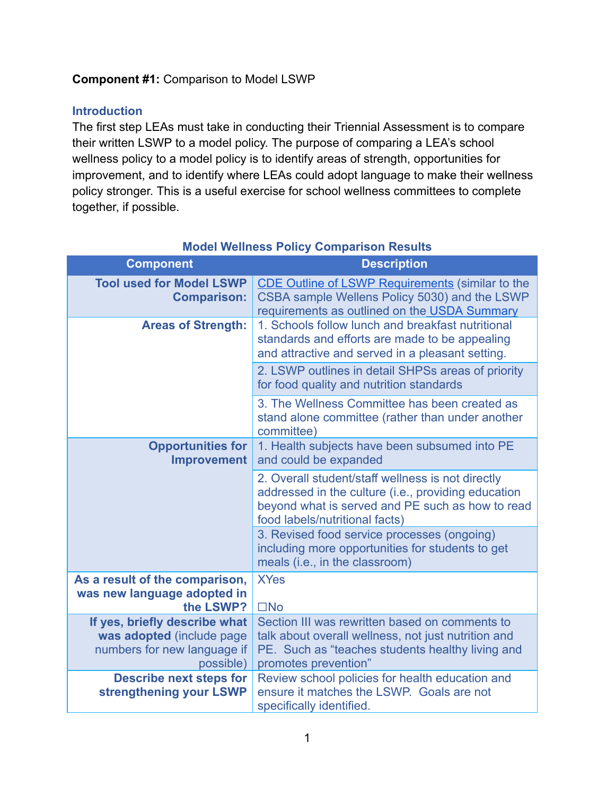# **Component #1:** Comparison to Model LSWP

# **Introduction**

The first step LEAs must take in conducting their Triennial Assessment is to compare their written LSWP to a model policy. The purpose of comparing a LEA's school wellness policy to a model policy is to identify areas of strength, opportunities for improvement, and to identify where LEAs could adopt language to make their wellness policy stronger. This is a useful exercise for school wellness committees to complete together, if possible.

| <b>Component</b>                                                                                       | <b>Description</b>                                                                                                                                                                             |
|--------------------------------------------------------------------------------------------------------|------------------------------------------------------------------------------------------------------------------------------------------------------------------------------------------------|
| <b>Tool used for Model LSWP</b><br><b>Comparison:</b>                                                  | <b>CDE Outline of LSWP Requirements (similar to the</b><br>CSBA sample Wellens Policy 5030) and the LSWP<br>requirements as outlined on the USDA Summary                                       |
| <b>Areas of Strength:</b>                                                                              | 1. Schools follow lunch and breakfast nutritional<br>standards and efforts are made to be appealing<br>and attractive and served in a pleasant setting.                                        |
|                                                                                                        | 2. LSWP outlines in detail SHPSs areas of priority<br>for food quality and nutrition standards                                                                                                 |
|                                                                                                        | 3. The Wellness Committee has been created as<br>stand alone committee (rather than under another<br>committee)                                                                                |
| <b>Opportunities for</b><br><b>Improvement</b>                                                         | 1. Health subjects have been subsumed into PE<br>and could be expanded                                                                                                                         |
|                                                                                                        | 2. Overall student/staff wellness is not directly<br>addressed in the culture (i.e., providing education<br>beyond what is served and PE such as how to read<br>food labels/nutritional facts) |
|                                                                                                        | 3. Revised food service processes (ongoing)<br>including more opportunities for students to get<br>meals (i.e., in the classroom)                                                              |
| As a result of the comparison,<br>was new language adopted in<br>the LSWP?                             | <b>XYes</b><br>$\square$ No                                                                                                                                                                    |
| If yes, briefly describe what<br>was adopted (include page<br>numbers for new language if<br>possible) | Section III was rewritten based on comments to<br>talk about overall wellness, not just nutrition and<br>PE. Such as "teaches students healthy living and<br>promotes prevention"              |
| <b>Describe next steps for</b><br>strengthening your LSWP                                              | Review school policies for health education and<br>ensure it matches the LSWP. Goals are not<br>specifically identified.                                                                       |

#### **Model Wellness Policy Comparison Results**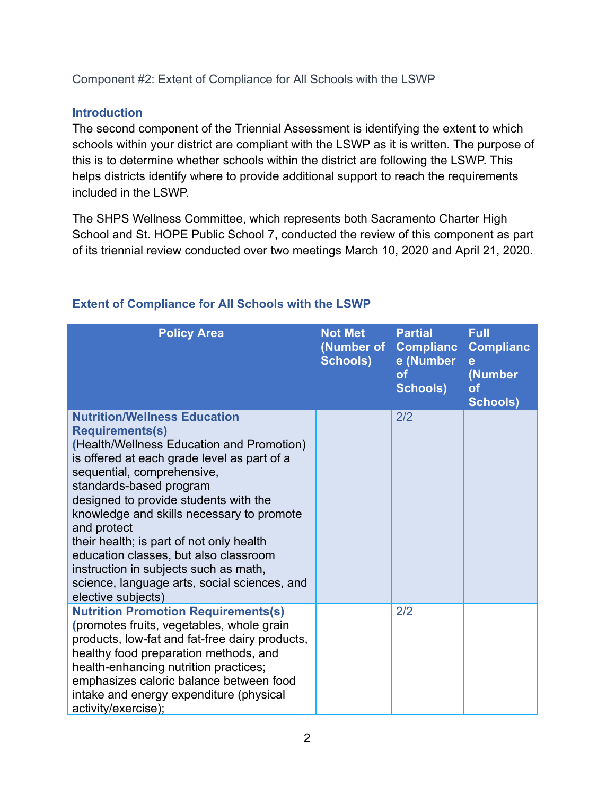#### **Introduction**

The second component of the Triennial Assessment is identifying the extent to which schools within your district are compliant with the LSWP as it is written. The purpose of this is to determine whether schools within the district are following the LSWP. This helps districts identify where to provide additional support to reach the requirements included in the LSWP.

The SHPS Wellness Committee, which represents both Sacramento Charter High School and St. HOPE Public School 7, conducted the review of this component as part of its triennial review conducted over two meetings March 10, 2020 and April 21, 2020.

| <b>Policy Area</b>                                                                                                                                                                                                                                                                                                                                                                                                                                                                                                          | <b>Not Met</b><br>(Number of<br><b>Schools)</b> | <b>Partial</b><br><b>Complianc</b><br>e (Number<br><b>of</b><br><b>Schools)</b> | <b>Full</b><br><b>Complianc</b><br>e<br>(Number<br><b>of</b><br><b>Schools)</b> |
|-----------------------------------------------------------------------------------------------------------------------------------------------------------------------------------------------------------------------------------------------------------------------------------------------------------------------------------------------------------------------------------------------------------------------------------------------------------------------------------------------------------------------------|-------------------------------------------------|---------------------------------------------------------------------------------|---------------------------------------------------------------------------------|
| <b>Nutrition/Wellness Education</b><br><b>Requirements(s)</b><br>(Health/Wellness Education and Promotion)<br>is offered at each grade level as part of a<br>sequential, comprehensive,<br>standards-based program<br>designed to provide students with the<br>knowledge and skills necessary to promote<br>and protect<br>their health; is part of not only health<br>education classes, but also classroom<br>instruction in subjects such as math,<br>science, language arts, social sciences, and<br>elective subjects) |                                                 | 2/2                                                                             |                                                                                 |
| <b>Nutrition Promotion Requirements(s)</b><br>(promotes fruits, vegetables, whole grain<br>products, low-fat and fat-free dairy products,<br>healthy food preparation methods, and<br>health-enhancing nutrition practices;<br>emphasizes caloric balance between food<br>intake and energy expenditure (physical<br>activity/exercise);                                                                                                                                                                                    |                                                 | 2/2                                                                             |                                                                                 |

# **Extent of Compliance for All Schools with the LSWP**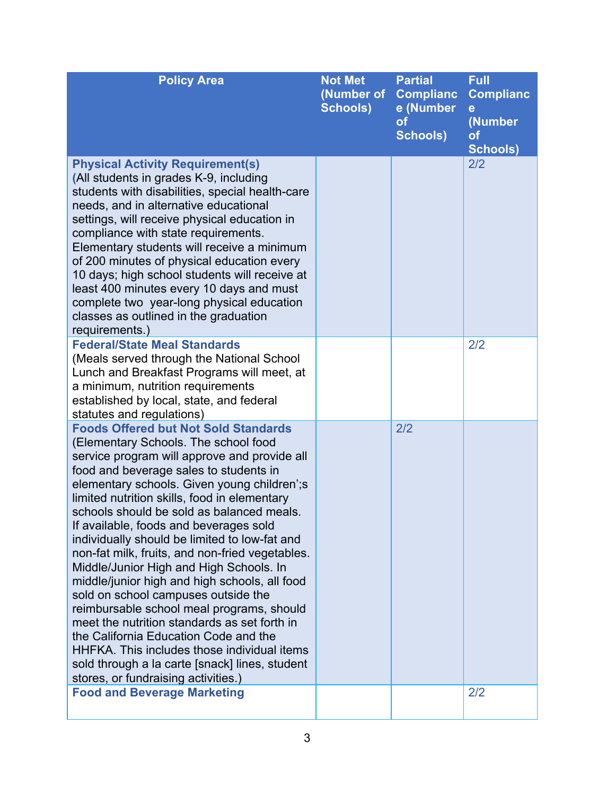| <b>Policy Area</b>                                                                                                                                                                                                                                                                                                                                                                                                                                                                                                                                                                                                                                                                                                                                                                                                                                                                        | <b>Not Met</b><br>(Number of<br><b>Schools)</b> | <b>Partial</b><br><b>Complianc</b><br>e (Number<br><b>of</b><br><b>Schools)</b> | <b>Full</b><br><b>Complianc</b><br>е<br>(Number<br>of<br><b>Schools)</b> |
|-------------------------------------------------------------------------------------------------------------------------------------------------------------------------------------------------------------------------------------------------------------------------------------------------------------------------------------------------------------------------------------------------------------------------------------------------------------------------------------------------------------------------------------------------------------------------------------------------------------------------------------------------------------------------------------------------------------------------------------------------------------------------------------------------------------------------------------------------------------------------------------------|-------------------------------------------------|---------------------------------------------------------------------------------|--------------------------------------------------------------------------|
| <b>Physical Activity Requirement(s)</b><br>(All students in grades K-9, including<br>students with disabilities, special health-care<br>needs, and in alternative educational<br>settings, will receive physical education in<br>compliance with state requirements.<br>Elementary students will receive a minimum<br>of 200 minutes of physical education every<br>10 days; high school students will receive at<br>least 400 minutes every 10 days and must<br>complete two year-long physical education<br>classes as outlined in the graduation<br>requirements.)                                                                                                                                                                                                                                                                                                                     |                                                 |                                                                                 | 2/2                                                                      |
| <b>Federal/State Meal Standards</b><br>(Meals served through the National School<br>Lunch and Breakfast Programs will meet, at<br>a minimum, nutrition requirements<br>established by local, state, and federal<br>statutes and regulations)                                                                                                                                                                                                                                                                                                                                                                                                                                                                                                                                                                                                                                              |                                                 |                                                                                 | 2/2                                                                      |
| <b>Foods Offered but Not Sold Standards</b><br>(Elementary Schools. The school food<br>service program will approve and provide all<br>food and beverage sales to students in<br>elementary schools. Given young children'; s<br>limited nutrition skills, food in elementary<br>schools should be sold as balanced meals.<br>If available, foods and beverages sold<br>individually should be limited to low-fat and<br>non-fat milk, fruits, and non-fried vegetables.<br>Middle/Junior High and High Schools. In<br>middle/junior high and high schools, all food<br>sold on school campuses outside the<br>reimbursable school meal programs, should<br>meet the nutrition standards as set forth in<br>the California Education Code and the<br>HHFKA. This includes those individual items<br>sold through a la carte [snack] lines, student<br>stores, or fundraising activities.) |                                                 | 2/2                                                                             |                                                                          |
| <b>Food and Beverage Marketing</b>                                                                                                                                                                                                                                                                                                                                                                                                                                                                                                                                                                                                                                                                                                                                                                                                                                                        |                                                 |                                                                                 | 2/2                                                                      |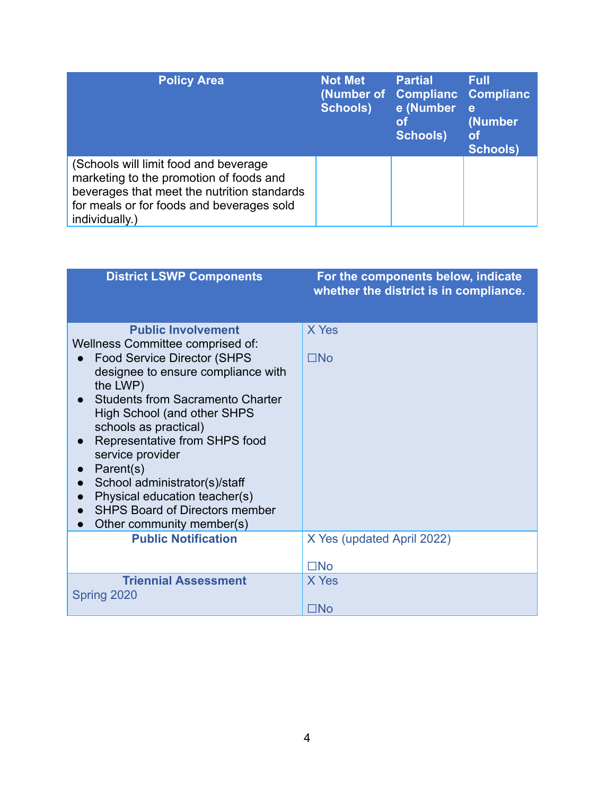| <b>Policy Area</b>                                                                                                                                                                             | <b>Not Met</b><br><b>Schools)</b> | <b>Partial</b><br>(Number of Complianc<br>e (Number<br>lot<br><b>Schools)</b> | <b>Full</b><br><b>Complianc</b><br>e<br>(Number<br><b>of</b><br><b>Schools)</b> |
|------------------------------------------------------------------------------------------------------------------------------------------------------------------------------------------------|-----------------------------------|-------------------------------------------------------------------------------|---------------------------------------------------------------------------------|
| (Schools will limit food and beverage<br>marketing to the promotion of foods and<br>beverages that meet the nutrition standards<br>for meals or for foods and beverages sold<br>individually.) |                                   |                                                                               |                                                                                 |

| <b>District LSWP Components</b>                                                                                                                                                                                                                                                                                                                                                                                                                                           | For the components below, indicate<br>whether the district is in compliance. |
|---------------------------------------------------------------------------------------------------------------------------------------------------------------------------------------------------------------------------------------------------------------------------------------------------------------------------------------------------------------------------------------------------------------------------------------------------------------------------|------------------------------------------------------------------------------|
| <b>Public Involvement</b><br>Wellness Committee comprised of:<br><b>Food Service Director (SHPS</b><br>designee to ensure compliance with<br>the LWP)<br><b>Students from Sacramento Charter</b><br><b>High School (and other SHPS</b><br>schools as practical)<br>Representative from SHPS food<br>service provider<br>Parent(s)<br>School administrator(s)/staff<br>Physical education teacher(s)<br><b>SHPS Board of Directors member</b><br>Other community member(s) | X Yes<br>$\square$ No                                                        |
| <b>Public Notification</b>                                                                                                                                                                                                                                                                                                                                                                                                                                                | X Yes (updated April 2022)<br>$\square$ No                                   |
| <b>Triennial Assessment</b><br>Spring 2020                                                                                                                                                                                                                                                                                                                                                                                                                                | X Yes<br>$\square$ No                                                        |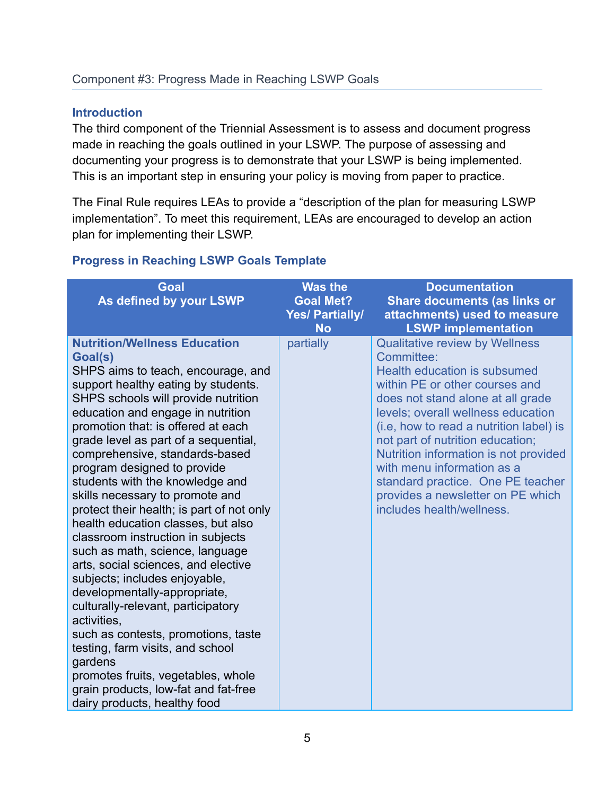# **Introduction**

The third component of the Triennial Assessment is to assess and document progress made in reaching the goals outlined in your LSWP. The purpose of assessing and documenting your progress is to demonstrate that your LSWP is being implemented. This is an important step in ensuring your policy is moving from paper to practice.

The Final Rule requires LEAs to provide a "description of the plan for measuring LSWP implementation". To meet this requirement, LEAs are encouraged to develop an action plan for implementing their LSWP.

# **Progress in Reaching LSWP Goals Template**

| <b>Goal</b><br>As defined by your LSWP                                                                                                                                                                                                                                                                                                                                                                                                                                                                                                                                                                                                                                                                                                                                                                                                                                                                                                                   | <b>Was the</b><br><b>Goal Met?</b><br><b>Yes/ Partially/</b><br><b>No</b> | <b>Documentation</b><br><b>Share documents (as links or</b><br>attachments) used to measure<br><b>LSWP implementation</b>                                                                                                                                                                                                                                                                                                                                            |
|----------------------------------------------------------------------------------------------------------------------------------------------------------------------------------------------------------------------------------------------------------------------------------------------------------------------------------------------------------------------------------------------------------------------------------------------------------------------------------------------------------------------------------------------------------------------------------------------------------------------------------------------------------------------------------------------------------------------------------------------------------------------------------------------------------------------------------------------------------------------------------------------------------------------------------------------------------|---------------------------------------------------------------------------|----------------------------------------------------------------------------------------------------------------------------------------------------------------------------------------------------------------------------------------------------------------------------------------------------------------------------------------------------------------------------------------------------------------------------------------------------------------------|
| <b>Nutrition/Wellness Education</b><br>Goal(s)<br>SHPS aims to teach, encourage, and<br>support healthy eating by students.<br>SHPS schools will provide nutrition<br>education and engage in nutrition<br>promotion that: is offered at each<br>grade level as part of a sequential,<br>comprehensive, standards-based<br>program designed to provide<br>students with the knowledge and<br>skills necessary to promote and<br>protect their health; is part of not only<br>health education classes, but also<br>classroom instruction in subjects<br>such as math, science, language<br>arts, social sciences, and elective<br>subjects; includes enjoyable,<br>developmentally-appropriate,<br>culturally-relevant, participatory<br>activities,<br>such as contests, promotions, taste<br>testing, farm visits, and school<br>gardens<br>promotes fruits, vegetables, whole<br>grain products, low-fat and fat-free<br>dairy products, healthy food | partially                                                                 | <b>Qualitative review by Wellness</b><br>Committee:<br><b>Health education is subsumed</b><br>within PE or other courses and<br>does not stand alone at all grade<br>levels; overall wellness education<br>(i.e. how to read a nutrition label) is<br>not part of nutrition education;<br>Nutrition information is not provided<br>with menu information as a<br>standard practice. One PE teacher<br>provides a newsletter on PE which<br>includes health/wellness. |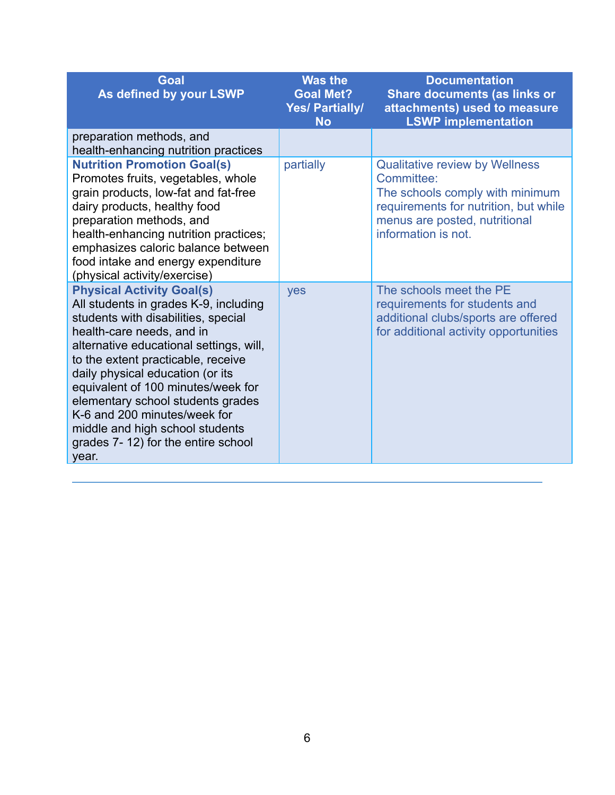| <b>Goal</b><br>As defined by your LSWP                                                                                                                                                                                                                                                                                                                                                                                                                          | <b>Was the</b><br><b>Goal Met?</b><br><b>Yes/ Partially/</b><br><b>No</b> | <b>Documentation</b><br><b>Share documents (as links or</b><br>attachments) used to measure<br><b>LSWP implementation</b>                                                               |
|-----------------------------------------------------------------------------------------------------------------------------------------------------------------------------------------------------------------------------------------------------------------------------------------------------------------------------------------------------------------------------------------------------------------------------------------------------------------|---------------------------------------------------------------------------|-----------------------------------------------------------------------------------------------------------------------------------------------------------------------------------------|
| preparation methods, and<br>health-enhancing nutrition practices                                                                                                                                                                                                                                                                                                                                                                                                |                                                                           |                                                                                                                                                                                         |
| <b>Nutrition Promotion Goal(s)</b><br>Promotes fruits, vegetables, whole<br>grain products, low-fat and fat-free<br>dairy products, healthy food<br>preparation methods, and<br>health-enhancing nutrition practices;<br>emphasizes caloric balance between<br>food intake and energy expenditure<br>(physical activity/exercise)                                                                                                                               | partially                                                                 | <b>Qualitative review by Wellness</b><br>Committee:<br>The schools comply with minimum<br>requirements for nutrition, but while<br>menus are posted, nutritional<br>information is not. |
| <b>Physical Activity Goal(s)</b><br>All students in grades K-9, including<br>students with disabilities, special<br>health-care needs, and in<br>alternative educational settings, will,<br>to the extent practicable, receive<br>daily physical education (or its<br>equivalent of 100 minutes/week for<br>elementary school students grades<br>K-6 and 200 minutes/week for<br>middle and high school students<br>grades 7-12) for the entire school<br>year. | yes                                                                       | The schools meet the PE<br>requirements for students and<br>additional clubs/sports are offered<br>for additional activity opportunities                                                |